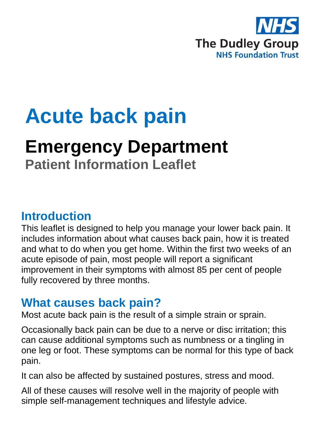

# **Acute back pain**

## **Emergency Department**

**Patient Information Leaflet**

## **Introduction**

This leaflet is designed to help you manage your lower back pain. It includes information about what causes back pain, how it is treated and what to do when you get home. Within the first two weeks of an acute episode of pain, most people will report a significant improvement in their symptoms with almost 85 per cent of people fully recovered by three months.

## **What causes back pain?**

Most acute back pain is the result of a simple strain or sprain.

Occasionally back pain can be due to a nerve or disc irritation; this can cause additional symptoms such as numbness or a tingling in one leg or foot. These symptoms can be normal for this type of back pain.

It can also be affected by sustained postures, stress and mood.

All of these causes will resolve well in the majority of people with simple self-management techniques and lifestyle advice.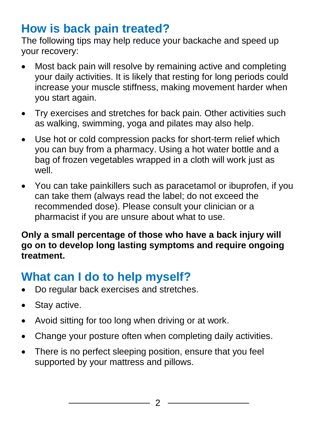## **How is back pain treated?**

The following tips may help reduce your backache and speed up your recovery:

- Most back pain will resolve by remaining active and completing your daily activities. It is likely that resting for long periods could increase your muscle stiffness, making movement harder when you start again.
- Try exercises and stretches for back pain. Other activities such as walking, swimming, yoga and pilates may also help.
- Use hot or cold compression packs for short-term relief which you can buy from a pharmacy. Using a hot water bottle and a bag of frozen vegetables wrapped in a cloth will work just as well.
- You can take painkillers such as paracetamol or ibuprofen, if you can take them (always read the label; do not exceed the recommended dose). Please consult your clinician or a pharmacist if you are unsure about what to use.

#### **Only a small percentage of those who have a back injury will go on to develop long lasting symptoms and require ongoing treatment.**

## **What can I do to help myself?**

- Do regular back exercises and stretches.
- Stay active.
- Avoid sitting for too long when driving or at work.
- Change your posture often when completing daily activities.
- There is no perfect sleeping position, ensure that you feel supported by your mattress and pillows.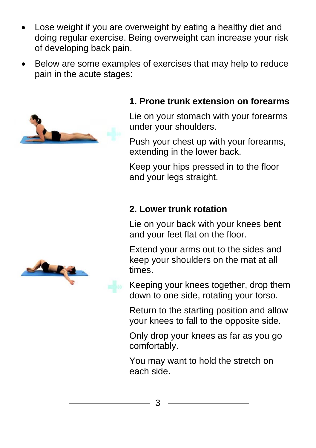- Lose weight if you are overweight by eating a healthy diet and doing regular exercise. Being overweight can increase your risk of developing back pain.
- Below are some examples of exercises that may help to reduce pain in the acute stages:



#### **1. Prone trunk extension on forearms**

Lie on your stomach with your forearms under your shoulders.

Push your chest up with your forearms, extending in the lower back.

Keep your hips pressed in to the floor and your legs straight.

#### **2. Lower trunk rotation**

Lie on your back with your knees bent and your feet flat on the floor.

Extend your arms out to the sides and keep your shoulders on the mat at all times.

Keeping your knees together, drop them down to one side, rotating your torso.

Return to the starting position and allow your knees to fall to the opposite side.

Only drop your knees as far as you go comfortably.

You may want to hold the stretch on each side.



3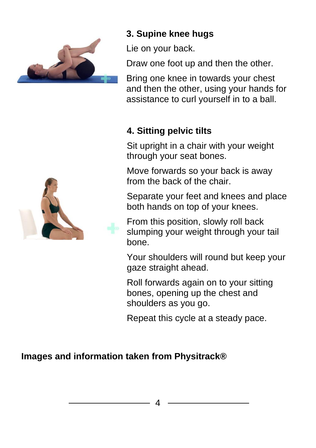

#### **3. Supine knee hugs**

Lie on your back.

Draw one foot up and then the other.

Bring one knee in towards your chest and then the other, using your hands for assistance to curl yourself in to a ball.

#### **4. Sitting pelvic tilts**

Sit upright in a chair with your weight through your seat bones.

Move forwards so your back is away from the back of the chair.

Separate your feet and knees and place both hands on top of your knees.

From this position, slowly roll back slumping your weight through your tail bone.

Your shoulders will round but keep your gaze straight ahead.

Roll forwards again on to your sitting bones, opening up the chest and shoulders as you go.

Repeat this cycle at a steady pace.

#### **Images and information taken from Physitrack®**

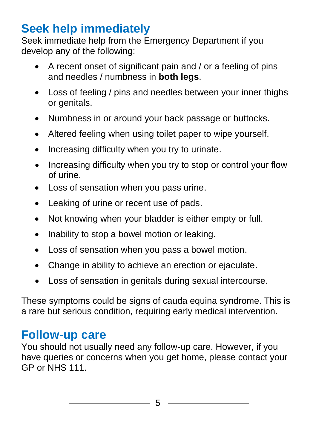## **Seek help immediately**

Seek immediate help from the Emergency Department if you develop any of the following:

- A recent onset of significant pain and / or a feeling of pins and needles / numbness in **both legs**.
- Loss of feeling / pins and needles between your inner thighs or genitals.
- Numbness in or around your back passage or buttocks.
- Altered feeling when using toilet paper to wipe yourself.
- Increasing difficulty when you try to urinate.
- Increasing difficulty when you try to stop or control your flow of urine.
- Loss of sensation when you pass urine.
- Leaking of urine or recent use of pads.
- Not knowing when your bladder is either empty or full.
- Inability to stop a bowel motion or leaking.
- Loss of sensation when you pass a bowel motion.
- Change in ability to achieve an erection or ejaculate.
- Loss of sensation in genitals during sexual intercourse.

These symptoms could be signs of cauda equina syndrome. This is a rare but serious condition, requiring early medical intervention.

## **Follow-up care**

You should not usually need any follow-up care. However, if you have queries or concerns when you get home, please contact your GP or NHS 111.

5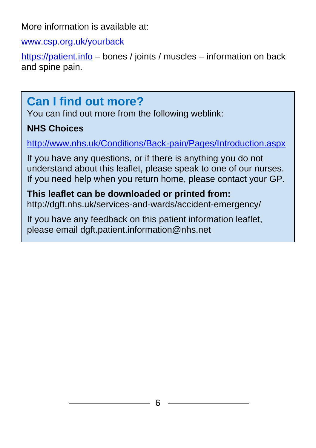More information is available at:

[www.csp.org.uk/yourback](http://www.csp.org.uk/yourback)

[https://patient.info](https://patient.info/) – bones / joints / muscles – information on back and spine pain.

## **Can I find out more?**

You can find out more from the following weblink:

#### **NHS Choices**

<http://www.nhs.uk/Conditions/Back-pain/Pages/Introduction.aspx>

If you have any questions, or if there is anything you do not understand about this leaflet, please speak to one of our nurses. If you need help when you return home, please contact your GP.

#### **This leaflet can be downloaded or printed from:** http://dgft.nhs.uk/services-and-wards/accident-emergency/

If you have any feedback on this patient information leaflet, please email dgft.patient.information@nhs.net